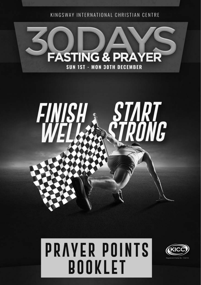KINGSWAY INTERNATIONAL CHRISTIAN CENTRE





# **PRAYER POINTS BOOKLET** 1

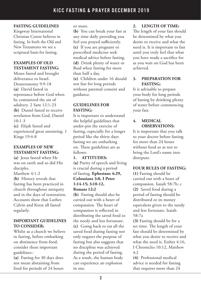# **FASTING GUIDELINES**

Kingsway International Christian Centre believes in fasting. In both the Old and New Testaments we see a scriptural basis for fasting.

# **EXAMPLES OF OLD TESTAMENT FASTING:**

Moses fasted and brought deliverance to Israel. Deuteronomy 9:9-18 **(a)** David fasted in repentance before God when he committed the sin of adultery. 2 Sam 12:1-23 **(b)** Daniel fasted to receive revelation from God. Daniel  $10:1-3$ **(c)** Elijah fasted and

experienced great anointing. 1 Kings 19:4-8

# **EXAMPLES OF NEW TESTAMENT FASTING:**

**(a)** Jesus fasted when He was on earth and so did His disciples.

Matthew 4:1-2

**(b)** History reveals that fasting has been practiced in church throughout antiquity and in the days of restoration. Accounts show that Luther, Calvin and Knox all fasted regularly.

#### **IMPORTANT GUIDELINES TO CONSIDER:**

Whilst as a church we believe in fasting, before embarking on abstinence from food, consider these important guidelines:-

**(a)** Fasting for 30 days does not mean abstaining from food for periods of 24 hours or more.

**(b)** You can break your fast at any time daily providing you feel you prayed sufficiently. **(c)** If you are pregnant or prescribed medicine seek medical advice before fasting. **(d)** Drink plenty of water or fluid when fasting for more than half a day. **(e)** Children under 16 should not fast for long periods without parental consent and guidance.

# **GUIDELINES FOR FASTING:**

It is important to understand the helpful guidelines that under-pin the exercise of fasting, especially for a longer period like the thirty days fasting we are embarking on. These guidelines are as follows:

#### **1. ATTITUDES:**

**(a)** Purity of speech and living is crucial during a period of fasting. **Ephesians 4:29, Colossians 3:8, I Peter 1:14-15; 3:10-12, Romans 12:2**

**(b)** Fasting should also be carried out with a heart of compassion. The heart of compassion is reflected in distributing the saved food to the needy and less fortunate. **(c)** Going back to eat all the saved food during fasting not only negates the purpose of fasting but also suggests that no discipline was achieved during the period of fasting. As a result, the human body can experience an explosion in size.

# **2. LENGTH OF TIME:**

The length of your fast should be determined by what you desire to receive and what the need is. It is important to fast until you truly feel that what you have made a sacrifice for as you wait on God has been achieved.

#### **3. PREPARATION FOR FASTING:**

It is advisable to prepare your body for long periods of fasting by drinking plenty of water before commencing your fast.

#### **4. MEDICAL OBSERVATIONS:**

It is important that you talk to your doctor before fasting for more than 24 hours without food so as not to bring the Lord's name into disrepute.

#### **FOUR RULES OF FASTING:**

**(1)** Fasting should be carried out with a heart of compassion. Isaiah 58:7b; c **(2)** Saved food during a period of fasting should be distributed or its money equivalent given to the needy and less fortunate. Isaiah 58:7a

**(3)** Fasting should be for a set time. The length of your fast should be determined by what you desire to receive and what the need is. Esther 4:16, I Chronicles 10:12, Matthew  $4:2$ 

**(4)** Professional medical advice is needed for fasting that requires more than 24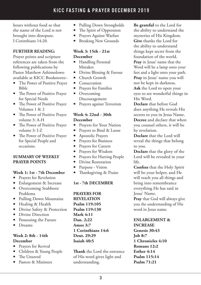hours without food so that the name of the Lord is not brought into disrepute. I Corinthians 14:20.

#### **FURTHER READING:**

Prayer points and scripture references are taken from the following publications by Pastor Matthew Ashimolowo available at KICC Bookstores:-

- The Power of Positive Prayer Bible
- The Power of Positive Prayer for Special Needs
- The Power of Positive Prayer Volumes 1 & 2
- The Power of Positive Prayer volume 3: A-H
- The Power of Positive Prayer volume 3: I-Z
- The Power of Positive Prayer for Special People and occasions.

#### **SUMMARY OF WEEKLY PRAYER POINTS**

#### **Week 1: 1st - 7th December**

- Prayers for Revelation
- Enlargement & Increase
- Overcoming Stubborn Problems
- Pulling Down Mountains
- Healing & Health
- Divine Safety & Protection
- Divine Direction
- Possessing the Future
- Dreams

#### **Week 2: 8th - 14th December**

- Prayers for Revival
- Children & Young People
- The Unsaved
- Pastors & Ministers
- Pulling Down Strongholds
- The Spirit of Oppression
- Prayers Against Warfare
- Breaking New Grounds

#### **Week 3: 15th - 21st December**

- Handling Personal Mistakes
- Divine Blessing & Favour
- Church Growth
- Consecration
- Prayers for Families
- Overcoming Discouragement
- Prayers against Terrorism

# **Week 4: 22nd - 30th December**

- Prayers for Your Nation
- Prayers to Bind & Loose
- Apostolic Prayers
- Prayers for Business
- Prayers for Careers
- Prayers for Wisdom
- Prayers for Hurting People
- Divine Restoration
- Purpose Vision
- Thanksgiving & Praise

## **1st - 7th DECEMBER**

**PRAYERS FOR REVELATION Psalm 119:105 Psalm 119:130 Mark 4:11 Dan. 2:22 Amos 3:7 1 Corinthians 14:6 Deut. 29:29 Isaiah 40:5**

**Thank** the Lord the entrance of His word gives light and understanding.

**Be grateful** to the Lord for the ability to understand the mysteries of His Kingdom. **Give** thanks the Lord for the ability to understand things kept secret from the foundation of the world. **Pray** in Jesus' name that the Word will be a lamp onto your feet and a light onto your path. **Pray** in Jesus' name you will not be kept in darkness. **Ask** the Lord to open your eyes to see wonderful things in His Word.

**Declare** that before God does anything He reveals His secrets to you in Jesus Name. **Decree** and declare that when you counsel others, it will be by revelation.

**Declare** that the Lord will reveal the things that belong to you.

**Declare** that the glory of the Lord will be revealed in your life.

**Confess** that the Holy Spirit will be your helper, and He will teach you all things and bring into remembrance everything He has said in Jesus' Name.

**Pray** that God will always give you the understanding of His word in Jesus name.

# **ENLARGEMENT &**

**INCREASE Genesis 30:43 Job 8:7 1 Chronicles 4:10 Romans 12:2 Esther 4:14 Psalm 115:14 Psalm 71:21**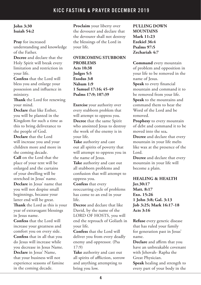# **John 3:30 Isaiah 54:2**

**Pray** for increased understanding and knowledge of the Father.

**Decree** and declare that the Holy Spirit will break every limitation and restriction in your life.

**Confess** that the Lord will bless you and enlarge your possession and influence in ministry.

**Thank** the Lord for renewing your mind.

**Declare** that like Esther, you will be planted in the Kingdom for such a time as this to bring deliverance to the people of God.

**Declare** that the Lord will increase you and your children more and more in the coming decade.

**Call** on the Lord that the place of your tent will be enlarged and the curtains of your dwelling will be stretched in Jesus' name. **Declare** in Jesus' name that you will not despise small beginnings, because your latter end will be great.

**Thank** the Lord as this is your year of extravagant blessings in Jesus name.

**Confess** that the Lord will increase your greatness and comfort you on every side. **Confess** that in all that you do Jesus will increase while you decrease in Jesus Name. **Declare** in Jesus' Name, that your business will not experience seasons of famine in the coming decade.

**Proclaim** your liberty over the devourer and declare that the devourer shall not destroy the blessings of the Lord in your life.

**OVERCOMING STUBBORN PROBLEMS Acts 10:38 Judges 5:5 Exodus 3:8 Nahum 1:9 1 Samuel 17:16; 45-49 Psalms 17:9; 107:39**

**Exercise** your authority over every stubborn problem that will attempt to oppress you. **Decree** that the same Spirit who anointed Jesus to destroy the work of the enemy is in your life.

**Take** authority and cast out all spirits of poverty that will attempt to oppress you in the name of Jesus.

**Take** authority and cast out all stubborn problems and confusion that will attempt to oppress you.

**Confess** that every reoccurring cycle of problems has come to an end in your life.

**Decree** and declare that like David, by the name of the LORD OF HOSTS, you will end the reproach of Goliath in your life.

**Confess** that the Lord will deliver you from every deadly enemy and oppressor. (Psa 17:9)

**Take** authority and cast out all spirits of affliction, sorrow and anything attempting to bring you low.

**PULLING DOWN MOUNTAINS Mark 11:23 Ezekiel 36:4 Psalms 97:5 Zechariah 4:7**

**Command** every mountain of problem and opposition in your life to be removed in the name of Jesus.

**Speak** to every financial mountain and command it to be removed from your life. **Speak** to the mountains and command them to hear the Word of the Lord and be removed.

**Prophesy** to every mountain of debt and command it to be moved into the sea**.**

**Decree** and declare that every mountain in your life melts like wax at the presence of the Lord.

**Decree** and declare that every mountain in your life will become a plain.

**HEALING & HEALTH Jer.30:17 Matt. 8:17 Exo. 15:26 1 John 3:8; Gal. 3:13 Job 3:25; Mark 16:17-18 Acts 3:16**

**Refuse** every genetic disease that has ruled your family for generation past in Jesus' name.

**Declare** and affirm that you have an unbreakable covenant with Jehovah- Rapha the Great Physician.

**Speak** healing and strength to every part of your body in the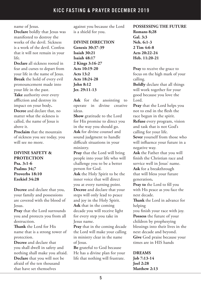name of Jesus.

**Declare** boldly that Jesus was manifested to destroy the works of the devil. Sickness is a work of the devil. Confess that it will not remain in your life.

**Declare** all sickness rooted in fear and curses to depart from your life in the name of Jesus. **Break** the hold of every evil pronouncement made into your life in the past. **Take** authority over every affliction and destroy its impact on your body**. Decree** and declare that, no matter what the sickness is called, the name of Jesus is above it.

**Proclaim** that the mountain of sickness you see today, you will see no more.

#### **DIVINE SAFETY & PROTECTION Psa. 3:1-6 Psalms 34;7 Proverbs 18:10 Ezekiel 34:28**

**Decree** and declare that you, your family and possessions are covered with the blood of Jesus.

**Pray** that the Lord surrounds you and protects you from all destruction.

**Thank** the Lord for His name that is a strong tower of protection.

**Decree** and declare that you shall dwell in safety and nothing shall make you afraid. **Declare** that you will not be afraid of the ten thousand that have set themselves

against you because the Lord is a shield for you.

# **DIVINE DIRECTION**

**Genesis 30:37-39 Isaiah 30:21 Isaiah 48:17 2 Kings 3:16-27 Acts 10:19-20 Acts 13:2 Acts 18:24-28 John 8:12 Jer. 29:11-13**

**Ask** for the anointing to operate in divine creative ideas.

**Show** gratitude to the Lord for His promise to direct you in the way you should go. **Ask** for divine counsel and sound judgment to handle difficult situations in your ministry.

**Pray** that the Lord will bring people into your life who will challenge you to be a better person for God.

**Ask** the Holy Spirit to be the inner voice that will direct you at every turning point. **Decree** and declare that your steps will only lead to peace and joy in the Holy Spirit. **Ask** that in the coming decade you will receive light for every step you take in Jesus name.

**Pray** that in the coming decade the Lord will make your calling in ministry clear in the name of Jesus.

**Be** grateful to God because He has a divine plan for your life that nothing will frustrate.

**POSSESSING THE FUTURE Romans 8;28 Gal. 3:3 Neh. 6:1-3 2 Tim 4:6-8 Acts 20:22-24 Heb. 11:20-21**

**Pray** to receive the grace to focus on the high mark of your calling.

**Boldly** declare that all things will work together for your good because you love the Lord.

**Pray** that the Lord helps you not to end in the flesh the race begun in the spirit.

**Refuse** every program, vision and task that is not God's calling for your life.

**Sever** yourself from those who will influence your future in a negative way.

**Ask** the Father that you will finish the Christian race and service well in Jesus' name. **Ask** for a breakthrough

that will bless your future generation**.**

**Pray to** the Lord to fill you with His peace as you face the next decade.

**Thank** the Lord in advance for helping

you finish your race with joy.

**Possess** the future of your children by prophesying blessings into their lives in the next decade and beyond. **Give** God praise because your times are in HIS hands

# **DREAMS**

**Job 7:13-14 Joel 2:28 Matthew 2:13**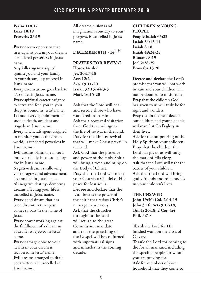# **Psalm 118:17 Luke 10:19 Proverbs 23:19**

**Every** dream oppressor that rises against you in your dreams is rendered powerless in Jesus name.

**Any** killer agent assigned against you and your family in your dream, is paralyzed in Jesus' name.

**Every** dream arrow goes back to it's sender in Jesus' name.

**Every** spiritual caterer assigned to serve and feed you in your sleep, is bound in Jesus' name. **I** cancel every appointment of sudden death, accident and tragedy in Jesus' name.

**Every** witchcraft agent assigned to monitor you in the dream world, is rendered powerless in Jesus' name.

**Evil** dreams planting evil seed into your body is consumed by fire in Jesus' name.

**Negative** dreams swallowing your progress and advancement, is cancelled in Jesus' name. **All** negative destiny- demoting dreams affecting your life is cancelled in Jesus name. **Every** good dream that has been dreamt in time past, comes to pass in the name of Jesus.

**Every** power working against the fulfillment of a dream in your life, is rejected in Jesus' name.

**Every** damage done to your health in your dream is recovered in Jesus' name. **Evil** dreams arranged to drain your virtues are cancelled in Jesus' name.

**All** dreams, visions and imaginations contrary to your progress, is cancelled in Jesus name.

# **DECEMBER 8TH - 14TH**

**PRAYERS FOR REVIVAL Hosea 14: 4-7 Jer. 30:17-18 Acts 12:24 Acts 19:11-20 Isaiah 32:15; 44:3-5 Mark 16:15-20**

**Ask** that the Lord will heal and restore those who have wandered from Him. **Ask** for a powerful visitation from God that will ignite the fire of revival in the land. **Pray** for the kind of revival that will make Christ prevail in the land. **Ask** God that the presence and power of the Holy Spirit will bring a fresh anointing on the Body of Christ. **Pray** that the Lord will make your Church a Citadel of His peace for lost souls. **Decree** and declare that the Lord breaks the power of the spirit that resists Christ's message in your city. **Ask** that the churches

throughout the land will return to the great Commission mandate and that the preaching of the Gospel will be confirmed with supernatural signs and miracles in the coming decade.

**CHILDREN & YOUNG PEOPLE People Isaiah 65:23 Isaiah 54:13-14 Isaiah 8:18 Isaiah 49:24-25 Romans 8:19 Joel 2:28-29 Proverbs 13:20**

**Decree and declare** the Lord's promise that you will not work in vain and your children will not be doomed to misfortune. **Pray** that the children God has given to us will truly be for signs and wonders.

**Pray** that in the next decade our children and young people will manifest God's glory in their lives.

**Ask** for the outpouring of the Holy Spirit on your children. **Pray** that the children the Lord has given us will carry the mark of His glory. **Ask** that the Lord will fight the battles of your children. **Ask** that the Lord will bring godly friends and role models in your children's lives.

#### **THE UNSAVED John 19:30; Col. 2:14-15 John 3:16; Acts 9:17-18; 16:31; 26:18; 2 Cor. 4:4 Phil. 3:7-8**

**Thank** the Lord for His finished work on the cross of Calvary.

**Thank** the Lord for coming to die for all mankind including the specific people for whom you are praying for. **Ask** for members of your household that they come to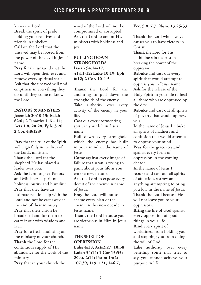know the Lord**.** 

**Break** the spirit of pride holding your relatives and friends in unbelief**.** 

**Call** on the Lord that the unsaved may be loosed from the power of the devil in Jesus' name.

**Pray** for the unsaved that the Lord will open their eyes and remove every spiritual scale. **Ask** that the unsaved will find emptiness in everything they do until they come to know the Lord.

**PASTORS & MINISTERS Jeremiah 20:10-13; Isaiah 62:6 ; 2 Timothy 1: 6 – 14; Acts 1:8; 20:28; Eph. 3:20; 2 Cor. 4:8;12:9**

**Pray** that the fruit of the Spirit will reign fully in the lives of the Lord's ministers. Thank the Lord for the shepherd He has placed a leader over you. **Ask** the Lord to give Pastors and Ministers a spirit of holiness, purity and humility. **Pray** that they have an intimate relationship with the Lord and not be cast away at the end of their ministry. **Pray** that their vision be broadened and for them to carry it out with wisdom and zeal.

**Pray** for a fresh anointing on the ministry of your church. **Thank** the Lord for the continuous supply of His abundance for the work of the ministry.

**Pray** that in your church the

word of the Lord will not be compromised or corrupted. **Ask** the Lord to anoint His ministers with boldness and joy.

# **PULLING DOWN STRONGHOLDS Isaiah 54:14-17; 41:11-12; Luke 10:19; Eph 6:12; 2 Cor. 10-4-5**

**Thank** the Lord for the anointing to pull down the strongholds of the enemy. Take authority over every activity of the enemy in your life.

**Cast** out every tormenting spirit in your life in Jesus name.

Pull down every stronghold which the enemy has built in your mind in the name of Jesus**.**

**Come** against every image of failure that satan is trying to paint about your life as you enter a new decade.

**Ask** the Lord to expose every deceit of the enemy in name of Jesus.

**Pray** the Lord will put to shame every plan of the enemy in this new decade in Jesus name.

**Thank** the Lord because you are victorious in Him in Jesus name.

# **THE SPIRIT OF OPPRESSION**

**Luke 4:18, Acts2:27, 10:38, Isaiah 54:14; 1 Cor 15:55; 2Cor. 2:14; Psalm 14:2; 107:39; 119: 121; 146:7;** 

# **Ecc. 5:8; 7:7; Num. 13:25-33**

**Thank** the Lord who always causes you to have victory in Christ.

**Thank** the Lord for His faithfulness in the past in breaking the power of the oppressor.

**Rebuke** and cast out every spirit that would attempt to oppress you in Jesus' name. **Ask** for the release of the Holy Spirit in your life to heal all those who are oppressed by the devil.

**Rebuke** and cast out all spirits of poverty that would oppress you.

**In** the name of Jesus I rebuke all spirits of madness and confusion that would attempt to oppress your mind.

**Pray** for the grace to stand against every form of oppression in the coming decade.

**In** the name of Jesus I rebuke and cast out all spirits of affliction, sorrow and anything attempting to bring you low in the name of Jesus. **Thank** the Lord because He will not leave you to your

oppressors**.** 

**Bring** the fire of God against every opposition of good things in your life.

**Bind** every spirit of worldliness from holding you and stopping you from doing the will of God

Take authority over every belittling spirit that tries to say you cannot achieve your purpose in life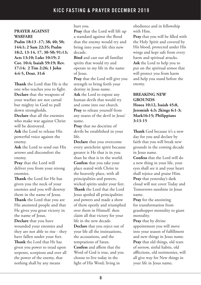#### **PRAYER AGAINST WARFARE**

**Psalm 18:13 -17; 38; 40; 50; 144:1; 2 Sam 22:35; Psalm 18:2, 13-14, 17, 30-50; 91:13; Acts 13:10; Luke 10:19; 2 Cor. 10:4; Isaiah 59:19; Rev. 17:14; 2 Tim 2:26; 1 John 4:4-5, Deut. 31:6**

**Thank** the Lord that He is the one who teaches you to fight. **Declare** that the weapons of your warfare are not carnal but mighty in God to pull down strongholds.

**Declare** that all the enemies who make war against Christ will be destroyed.

**Ask** the Lord to release His powerful voice against the enemy.

**Ask** the Lord to send out His arrows and discomfort the enemy.

**Pray** that the Lord will deliver you from your strong enemies.

**Thank** the Lord for He has given you the neck of your enemies and you will destroy them in the name of Jesus. **Thank** the Lord that you are His anointed people and that He gives you great victory in the name of Jesus.

**Declare** that you have wounded your enemies and they are not able to rise - they have fallen under your feet. **Thank** the Lord that He has given you power to tread upon serpents, scorpions and over all the power of the enemy, that nothing shall by any means

hurt you.

**Pray** that the Lord will lift up a standard against the flood that the enemy would try and bring into your life this new decade.

**Bind** and cast out all familiar spirits that would try and operate in my life in the name of Jesus.

**Pray** that the Lord will give you strength to bring forth your destiny in Jesus name.

**Ask** the Lord to expose any human devils that would try and come into our church.

**Pray** to release yourself from any snares of the devil in Jesus' name.

**Pray** that no doctrine of devils be established in your life.

**Declare** that you overcome every antichrist spirit because greater is He that is in you than he that is in the world. **Confess** that you take your place seated with Christ in the heavenly place, with all principalities and powers, wicked spirits under your feet. **Thank** the Lord that the Lord Jesus spoiled all principalities and powers and made a show of them openly and triumphed over them in Himself. then claim all that victory for your life in the new decade. **Declare** that you reject out of your life all the insinuations, the accusations, and the temptations of Satan. **Confess** and affirm that the Word of God is true, and you choose to live today in the light of His Word; living in

obedience and in fellowship with Him.

**Pray** that you will be filled with the Holy Spirit and covered by His blood, protected under His wings and kept safe from every harm and spiritual attacks. **Ask** the Lord to help you to put on the spiritual armor that will protect you from harm and help you stand before the enemy.

**BREAKING NEW GROUNDS Hosea 10:12, Isaiah 45:8, Jeremiah 4:3; 2kings 6:1-3; Mark16:15; Philippians 3:13-15**

**Thank** God because it's a new day for you and declare by faith that you will break new grounds in the coming decade in Jesus name.

**Confess** that the Lord will do a new thing in your life, your eyes shall see it and your heart shall rejoice and praise Him. **Pray** that yesterday's dark cloud will not cover Today and Tomorrows sunshine in Jesus name.

**Pray** for the anointing for transformation from grasshopper mentality to giant mentality.

**Pray** that by divine appointment you will move into your season of fulfillment and new things in Jesus name. **Pray** that old things, old tears of sorrow, sinful habits, old afflictions, old testimonies, will all give way for New things in your life in Jesus name**.**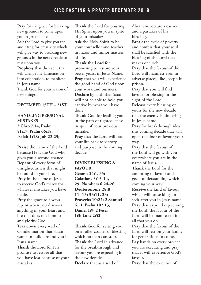**Pray** for the grace for breaking new grounds to come upon you in Jesus name.

**Ask** the Lord to give you the anointing for creativity which will give way to breaking new grounds in the next decade to rest upon you.

**Prophesy** that the event that will change my lamentation into celebration, to manifest in Jesus name Thank God for your season of new things.

# **DECEMBER 15TH – 21ST**

#### **HANDLING PERSONAL MISTAKES 2 Chro 7:14; Psalm 51:17; Psalm 66:18; Isaiah 1:18; Job 22:23;**

**Praise** the name of the Lord because He is the God who gives you a second chance. **Repent** of every form of unrighteousness that might be found in your life**. Pray** in the name of Jesus, to receive God's mercy for whatever mistakes you have made.

**Pray** the grace to always repent when you discover anything in your heart and life that does not honour and glorify God.

**Tear** down every wall of Condemnation that Satan wants to build around you in Jesus' name.

**Thank** the Lord for His promise to restore all that you have lost because of your mistakes.

**Thank** the Lord for pouring His Spirit upon you in spite of your mistakes.

**Ask** the Holy Spirit to be your counsellor and teacher in major and minor matters of life.

**Thank the Lord** for

promising to restore your better years, in Jesus Name. **Pray** that you will experience the good hand of God upon your work and business.

**Declare** by faith that Satan will not be able to hold you captive by what you have done.

**Thank** God for leading you in the path of righteousness in spite of your previous mistake.

**Pray** that the Lord will lead your life back to victory and purpose in the coming decade.

# **DIVINE BLESSING & FAVOUR Genesis 24:1, 35;**

**Galatians 3:13-14, 29; Numbers 6:24-26; Deuteronomy 28:8, 11- 13; 33:11, 23; Proverbs 10:22; 2 Samuel 6:11; Psalm 102:13; Daniel 1:9; 2 Peter 1:3; Luke 2:52**

**Thank** God for setting you on a roller coaster of blessing which no man can stop. **Thank** the Lord in advance for the breakthrough and favour you are expecting in the new decade. **Declare** that as a seed of

Abraham you are a carrier and a partaker of his blessing.

**Break** the cycle of poverty and confess that your soul shall be satisfied with the blessing of the Lord that makes one rich.

**Pray** that the favour of the Lord will manifest even in adverse places, like Joseph in prison**.**

**Pray** that you will find favour for blessing in the sight of the Lord.

**Release** every blessing of yours for the new decade that the enemy is hindering in Jesus name.

**Pray** for breakthrough idea this coming decade that will open the door of favour your way

**Pray** that the favour of the Lord will go with you everywhere you are in the name of Jesus**.**

**Thank** the Lord for the anointing of favour and good understanding which is coming your way.

**Receive** the kind of favour which will cause kings to seek after you in Jesus name. **Pray** that as you keep serving the Lord, the favour of the Lord will be manifested in all that you do.

**Pray** that the favour of the Lord will rest on your family for generations to come.

**Lay** hands on every project you are executing and pray that it will experience God's favour**.**

**Pray** that the evidence of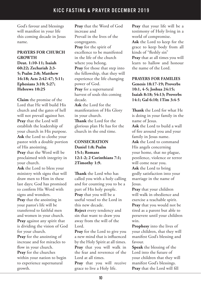God's favour and blessings will manifest in your life this coming decade in Jesus name.

#### **PRAYERS FOR CHURCH GROWTH**

**Deut. 1:10-11; Isaiah 60:22; Zechariah 2:3- 5; Psalm 2:8; Matthew 16:18; Acts 2:42-47; 5:11; Ephesians 3:10; 5:27; Hebrews 10:25**

**Claim** the promise of the Lord that He will build His church and the gates of hell will not prevail against her. **Pray** that the Lord will establish the leadership of your church in His purpose. **Ask** the Lord to clothe your pastor with a double portion of His anointing. **Pray** that the Word will be

proclaimed with integrity in your church.

**Ask** the Lord to bless your ministry with signs that will draw men to Him in these last days; God has promised to confirm His Word with signs and wonders. **Pray** that the anointing in your pastor's life will be transferred to faithful men

and women in your church. **Pray** against any spirit that is dividing the vision of God for your church.

**Pray** for the anointing of increase and for miracles to flow in your church.

**Pray** for the churches within your nation to begin to experience supernatural growth.

**Pray** that the Word of God increase and Prevail in the lives of the congregants. **Pray** for the spirit of excellence to be manifested in the life of the church where you belong. **Pray** for those that step into the fellowship, that they will experience the life changing power of God. **Pray** for a supernatural harvest of souls this coming decade. **Ask** the Lord for the manifestation of His Glory in your church. **Thank** the Lord for the glorious plan He has for the church in the end time.

# **CONSECRATION Daniel 1:8; Psalm 15:1; Romans 12:1-2; 2 Corinthians 7:1; 2Timothy 1:9.**

**Thank** the Lord who has called you with a holy calling and for counting you to be a part of His holy people. **Pray** that you will be a useful vessel to the Lord in this new decade.

**Reject** every tendency and sin that want to draw you away from the will of the Lord.

**Pray** for the Lord to give you a new mind that is influenced by the Holy Spirit at all times. **Pray** that you will walk in the fear and reverence of the Lord at all times.

**Pray** that you will receive grace to live a Holy life.

**Pray** that your life will be a testimony of Holy living in a world of compromise.

**Ask** the Lord to keep for the grace to keep body from all kinds of "fleshly sin" **Pray** that at all times you will learn to hallow and honour the name of the Lord.

**PRAYERS FOR FAMILIES Genesis 18:17-19; Proverbs 10:1, 4-5; Joshua 24:15; Isaiah 8:18; 54:13; Proverbs 14:1; Gal 6:10; 1Tim 3:4-5**

**Thank** the Lord for what He is doing in your family in the name of Jesus.

**Ask** the Lord to build a wall of fire around you and your family in Jesus name.

**Ask** the Lord to command His angels concerning your home, that no plague, pestilence, violence or terror will come near you. **Ask** the Lord to bring godly satisfaction into your marriage in the name of

Jesus.

**Pray** that your children will walk in obedience and exercise a teachable spirit. **Pray** that you would not be tired as a parent but able to persevere until your children win.

**Prophesy** into the lives of your children, that they will manifest God's blessing and favour.

**Speak** the blessing of the Lord into the future of your children that they will manifest God's blessings. **Pray** that the Lord will fill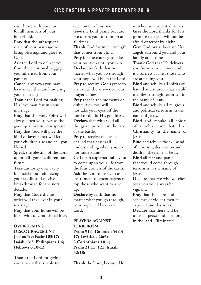your heart with pure love for all members of your household.

**Pray** that the subsequent years of your marriage will bring blessings and glory to God.

**Ask** the Lord to deliver you from the emotional baggage you inherited from your parents.

**Cancel** any vows you may have made that are hindering your marriage.

**Thank** the Lord for making His love manifest in your marriage.

**Pray** that the Holy Spirit will always open your eyes to the good qualities in your spouse. **Pray** that God will give the kind of favour that will let your children rise and call you blessed.

**Speak** the blessing of the Lord upon all your children and future.

**Take** authority over every financial mountain facing your family and receive breakthrough for the next decade.

**Pray** that God's divine order will take over in your marriage

**Pray** that your home will be filled with unconditional love.

# **OVERCOMING DISCOURAGEMENT Joshua 1:9; Psalm103:17; Isaiah 43:2; Philippians 1:6; Hebrews 6:10-12**

**Thank** the Lord for giving you a heart that is able to

overcome in Jesus name. **Give** the Lord praise because He causes you to triumph at all times.

**Thank** God for inner strength that comes from Him.

**Pray** for the courage to take your position until you win. **Declare** by faith that no matter what you go through, your hope will be in the Lord. **Pray** to receive God's grace to wait until the answer to your prayer comes.

**Pray** that in the moments of difficulties, you will not take your eyes off the Lord or doubt His goodness. **Declare** that with God all things are possible in the face of the battle.

**Pray** to receive the peace of God that passes all understanding when you do not understand.

**Call** forth supernatural favour to come upon your life from the four corners of the earth. **Ask** the Lord to use you as an instrument of encouragement top those who want to give up.

**Declare** by faith that no matter what you go through, your hope will be on the Lord.

# **PRAYERS AGAINST TERRORISM Psalm 91:1-16; Isaiah 54:14- 17; Leviticus 26:6;**

**2 Corinthians 10:4; Psalm 21:11; 121; Isaiah 32:18;** 

**Thank** the Lord, because He

watches over you at all times. **Give** the Lord thanks for His promise that you will not be afraid of terror by night.

**Give** God praise because His angels surround you and your family at all times.

**Thank** God that He delivers you from your enemies and is a fortress against those who are attacking you.

**Bind** and rebuke all spirits of hatred and murder that would manifest through terrorism in the name of Jesus.

**Bind** and rebuke all religious and political terrorism in the name of Jesus.

**Bind** and rebuke all spirits of antichrist and hatred of Christianity in the name of Jesus.

**Bind** and rebuke the evil wind of terrorism, destruction and death in the name of Jesus.

**Bind** all fear and panic that would come through terrorism in the name of Jesus**.**

**Declare** that He who watches over you will always be vigilant.

**Pray** that the plans and schemes of violent men be exposed and destroyed.

**Declare** that there will be unusual peace and harmony in the land. Eliminated.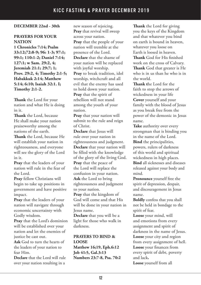## **DECEMBER 22nd - 30th**

#### **PRAYERS FOR YOUR NATION**

**1 Chronicles 7:14; Psalm 33:12;72:8-9; 96: 1-3; 97:1; 99:1; 110:1-2; Daniel 7:14; 127:1; w Sam. 29:2, 4; Jeremiah 21:1; 29:7; 1; Prov. 29:2, 4; Timothy 2:1-5; Habakkuk 2:14; Matthew 5:14; 6:10; Isaiah 32:1. I; Timothy 2:1-2.**

**Thank** the Lord for your nation and what He is doing in it.

**Thank** the Lord, because He shall make your nation praiseworthy among the nations of the earth. **Thank** the Lord, because He will establish your nation in righteousness, and everyone will see the glory of the Lord in it.

**Pray** that the leaders of your nation will rule in the fear of the Lord.

**Pray** fellow Christians will begin to take up positions in government and have positive impact.

**Pray** that the leaders of your nation will navigate through economic uncertainty with Godly wisdom.

**Pray** that the Lord's dominion will be established over your nation and let the enemies of justice be cast out.

**Ask** God to turn the hearts of the leaders of your nation to fear Him.

**Declare** that the Lord will rule over your nation resulting in a

new season of rejoicing. **Pray** that revival will sweep across your nation. **Pray** that the people of your nation will tremble at the presence of the Lord. **Declare** that the shame of your nation will be replaced with joyful worship. **Pray** to break tradition, idol worship, witchcraft and all evil that the enemy has used to hold down your nation. **Pray** that the spirit of rebellion will not stand among the youth of your nation.

**Pray** that your nation will submit to the rule and reign of Christ.

**Declare** that Jesus will rule over your nation in righteousness and judgment. **Declare** that your nation will be filled with the knowledge of the glory of the living God. **Pray** that the peace of the Lord will replace the confusion in your nation. **Ask** the Lord to bring righteousness and judgment to your nation.

**Pray** that the kingdom of God will come and that His will be done in your nation in Jesus name.

**Declare** that you will be a light for those who walk in darkness.

# **PRAYERS TO BIND & LOOSE**

**Matthew 16;19, Eph.6:12 Job 41:5, Gal.3:13 Numbers 23:7-8, Psa. 70:2**

**Thank** the Lord for giving you the keys of the Kingdom and that whatever you bind on earth is bound in heaven, whatever you loose on Earth is loosed in heaven. **Thank** God for His finished work on the cross of Calvary. **Thank** God that greater is He who is in us than he who is in the world.

**Thank t**he Lord for the faith to stop the arrows of wickedness in your life **Cover** yourself and your family with the blood of Jesus as you break free from the power of the demonic in Jesus name.

**Take** authority over every strongman that is binding you in the name of the Lord. **Bind** the principalities, powers, rulers of darkness of this world and spiritual wickedness in high places. **Bind** all sicknesses and diseases released against your body and mind.

**Pronounce** yourself free the spirit of depression, despair, and discouragement in Jesus name.

**Boldly** confess that you shall not be held in bondage to the spirit of fear.

**Loose** your mind, will and emotions from every assignment and spirit of darkness in the name of Jesus. **Loose** your city and region from every assignment of hell. **Loose** your finances from every spirit of debt, poverty and lack**.**

**Loose** yourself from all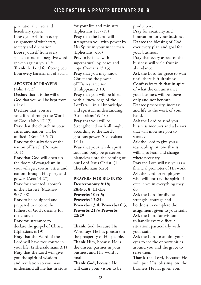generational curses and hereditary spirits. **Loose** yourself from every assignment of witchcraft, sorcery and divination. **Loose** yourself from every spoken curse and negative word spoken against your life. **Thank** the Lord for freeing you from every harassment of Satan.

#### **APOSTOLIC PRAYERS**

(John 17:15)

**Declare** that it is the will of God that you will be kept from all evil.

**Declare** that you are sanctified through the Word of God. (John 17:17) **Pray** that the church in your cities and nation will be unified. (Rom 15:5-7) **Pray** for the salvation of the nation of Israel. (Romans  $10:1)$ 

**Pray** that God will open up the doors of evangelism in your villages, towns, cities and nation through His glory and power. (Acts 14:27) **Pray** for anointed laborer's in the Harvest (Matthew 9:37-38)

**Pray** to be equipped and prepared to receive the fullness of God's destiny for the church

**Pray** for utterance to declare the gospel of Christ. (Ephesians 6:19)

**Pray** that the Word of the Lord will have free course in your life. (2Thessalonians 3:1) **Pray** that the Lord will give you the spirit of wisdom and revelation so you may understand all He has in store

for your life and ministry. (Ephesians 1:17-19) **Pray** that the Lord will strengthen you with power by His Spirit in your inner man. (Ephesians 3:16) **Pray** to be filled with supernatural joy, peace and hope (Romans 15:13) **Pray** that you may know Christ and the power of His resurrection. (Philippians 3:10) **Pray** that you will be filled with a knowledge of the Lord's will in all knowledge and spiritual understanding. (Colossians 1:9-10) **Pray** that you will be Strengthened with all might according to the Lord's glorious power. (Colossians 1:11)

**Pray** that your whole spirit, soul and body be preserved blameless unto the coming of our Lord Jesus Christ. (1 Thessalonians 5:23)

## **PRAYERS FOR BUSINESS Deuteronomy 8:18; 28:4-5, 8, 11-13; Proverbs 10:4-5; Proverbs 12;24; Proverbs 13:4; Proverbs16:3; Proverbs 21:5; Proverbs 22:29**

**Thank** God, because His Word says He has pleasure in the prosperity of His people. **Thank** Him, because He is the unseen partner in your business and His Word is final.

**Thank God,** because He will cause your vision to be productive.

**Pray** for creativity and innovation for your business. **Decree** the blessing of God over every plan and goal for your business.

**Pray** that every aspect of the business will yield fruit in abundance.

**Ask** the Lord for grace to wait until there is fruitfulness. **Confess** by faith that in spite of what the circumstance, your business will be above only and not beneath. **Decree** prosperity, increase

and life to the work of your hand.

**Ask** the Lord to send you business mentors and advisors that will motivate you to succeed.

**Ask** the Lord to give you a teachable spirit; one that is willing to learn and change where necessary.

**Pray** the Lord will use you as a financial promoter of His work. **Ask** the Lord for employees who will portray the spirit of excellence in everything they do.

**Ask** the Lord for divine strength, courage and boldness to complete the assignment given to your staff. **Ask** the Lord for wisdom to handle every difficult situation, particularly with your staff.

**Ask** the Lord to anoint your eyes to see the opportunities around you and the grace to seize them.

**Thank** the Lord, because He will put His blessing on the business He has given you.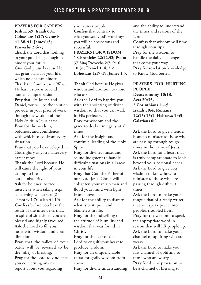#### **PRAYERS FOR CAREERS Joshua 5:9; Isaiah 60:1, Colossians 1:27; Genesis 41:38-41; James1:5; Proverbs 2:6-7;**

**Thank** the Lord that nothing in your past is big enough to hinder your future.

**Give** God praise because He has great plans for your life, which no one can hinder. **Thank** the Lord because What He has in store is beyond human comprehension. **Pray** that like Joseph and Daniel, you will be the solution provider in your place of work through the wisdom of the Holy Spirit in Jesus name. **Pray** for the wisdom, boldness, and confidence with which to confront every situation.

**Pray** that you be enveloped in God's glory as you makeevery career move.

**Thank** the Lord because He will cause the light of your calling to break out of obscurity.

**Ask** for boldness to face interviews when taking steps concerning you career. (2

Timothy 1:7; Isaiah 41:10) **Confess** before you hear the result of the interviews that, in spite of situations, you are blessed and highly favoured. **Ask** the Lord to fill your heart with wisdom and clear direction.

**Pray** that the valley of your battle will be reversed to be the valley of blessing.

**Pray** for the Lord to vindicate you concerning any evil report about you regarding

your career or job. **Confess** that contrary to what you see, God's word says you will be prosperous and successful.

**PRAYERS FOR WISDOM 1 Chronicles 22:12,32; Psalm 37:30a; Proverbs 2:7; 9:10; 10:31, Daniel 1: 4; 2:21, Ephesians 1:17-19, James 1:5.**

**Thank** God because He gives wisdom and direction to those who ask.

**Ask** the Lord to baptize you with the anointing of divine wisdom so that you can walk in His perfect will.

**Pray** for wisdom and the grace to deal in integrity at all times.

**Ask** for the insight and continual leading of the Holy Spirit.

**Pray** for divinecounsel and sound judgment to handle difficult situations in all areas in your life.

**Pray** that God the Father of our Lord Jesus Christ will enlighten your spirit-man and flood your mind with light from above.

**Ask** for the ability to discern what is best, pure and blameless in life.

**Pray** for the indwelling of the attitude of humility and wisdom that was found in Christ.

**Pray** for the fear of the Lord to engulf your heart to produce wisdom.

**Pray** for an unquenchable thirst for godly wisdom from above.

**Pray** for divine understanding

and the ability to understand the times and seasons of the Lord.

**Confess** that wisdom will flow through your lips **Pray** for the wisdom to handle the daily challenges that come your way. **Pray** for revelation knowledge to Know God better.

#### **PRAYERS FOR HURTING PEOPLE**

**Deuteronomy 10:18, Acts 20:35, 2 Corinthians 1:4-5, Isaiah 50:4, Romans 12:15; 15:1, Hebrews 13:3, Galatians 6:2**

**Ask** the Lord to give a tender heart to minister to those who are passing through tough times in the name of Jesus. **Ask** the Lord for a heart that is truly compassionate to look beyond your personal needs. **Ask** the Lord to give you wisdom to know how to minister to those who are passing through difficult times.

**Ask** the Lord to make your tongue that of a ready writer that will speak peace into people's troubled lives.

**Pray** for the wisdom to speak the appropriate word in season that will lift people up. **Ask** the Lord to make you a channel of uplifting who are weary.

**Ask** the Lord to make you His channel of uplifting to those who are weary. **Pray** for divine provision to be a channel of blessing to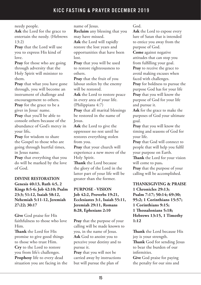needy people.

**Ask** the Lord for the grace to entertain the needy. (Hebrews  $13:2)$ 

**Pray** that the Lord will use you to express His kind of love.

**Pray** for those who are going through adversity that the Holy Spirit will minister to them.

**Pray** that what you have gone through, you will become an instrument of challenge and encouragement to others. **Pray** for the grace to be a giver in Jesus' name.

**Pray** that you'll be able to console others because of the abundance of God's mercy in your life**.**

**Pray** for wisdom to share the Gospel to those who are going through hurtful times, in Jesus name.

**Pray** that everything that you do will be marked by the love of God.

**DIVINE RESTORATION Genesis 40:13, Ruth 4:5, 2 Kings 8:5-6; Job 42:10; Psalm 23:3; 51:12, Isaiah 58:12, Nehemiah 5:11-12, Jeremiah 27:22; 30:17**

**Give** God praise for His faithfulness to those who love Him.

**Thank** the Lord for His promise to give good things to those who trust Him. **Cry** to the Lord to restore you from life's challenges. **Prophesy** life to every dead situation you are facing in the name of Jesus.

**Reclaim** any blessing that you may have missed.

**Ask** the Lord will rapidly restore the lost years and opportunities that have been lost.

**Pray** that you will be used to restore righteousness to others.

**Pray** that the fruit of you labour stolen by the enemy will be restored.

**Ask** the Lord to restore peace in every area of your life. (Philippians 4:7)

**Pray** that all marital blessings be restored in the name of Jesus.

**Ask** the Lord to give the oppressor no rest until he restores everything stolen from you.

**Pray** that your church will experience a new move of the Holy Spirit.

**Thank** the Lord because the glory of the Lord in the latter part of your life will be greater than the former.

# **PURPOSE - VISION Job 42:2, Proverbs 19:21, Ecclesiastes 3:1, Isaiah 55:11, Jeremiah 29:11, Romans 8:28, Ephesians 2:10**

**Pray** that the purpose of your calling will be made known to you, in the name of Jesus. **Ask** God to anoint you to perceive your destiny and to pursue it.

**Pray** that you will not be carried away by instructions but will pursue the plan of

God.

**Ask** the Lord to expose every lure of Satan that is intended to entice you away from the purpose of God.

**Come** against negative attitudes that can stop you from fulfilling your goal.

**Pray** to receive the grace to avoid making excuses when faced with challenges.

**Pray** for boldness to pursue the purpose God has for your life **Pray** that you will know the purpose of God for your life and pursue it.

**Ask** for the grace to make the purposes of God your ultimate goal.

**Pray** that you will know the timing and seasons of God for your life.

**Pray** that God will connect to people that will help you fulfil your purpose on Earth.

**Thank** the Lord for your vision will come to pass**.**

**Pray** that the purpose of your calling will be accomplished.

**THANKSGIVING & PRAISE 1 Chronicles 29:13; Psalm 7:17; 50:14; 69:30; 95:2; 1 Corinthians 15:57; 1 Corinthians 9:15; 1 Thessalonians 5:18; Hebrews 13:15, 1 Timothy 1:12**

**Thank** the Lord because His joy is your strength. **Thank** God for sending Jesus to bear the burden of our infirmities.

**Give** God praise for paying the penalty for our sins and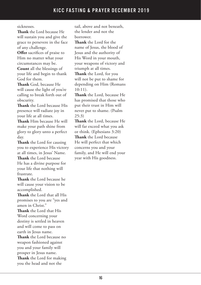#### sicknesses.

**Thank** the Lord because He will sustain you and give the grace to persevere in the face of any challenge.

**Offer** sacrifices of praise to Him no matter what your circumstances may be.

**Count** all the blessings of your life and begin to thank God for them.

**Thank** God, because He will cause the light of you're calling to break forth out of obscurity.

**Thank** the Lord because His presence will radiate joy in your life at all times.

**Thank** Him because He will make your path shine from glory to glory unto a perfect day.

**Thank** the Lord for causing you to experience His victory at all times, in Jesus' Name. **Thank** the Lord because He has a divine purpose for your life that nothing will frustrate.

**Thank** the Lord because he will cause your vision to be accomplished.

**Thank** the Lord that all His promises to you are "yes and amen in Christ."

**Thank** the Lord that His Word concerning your destiny is settled in heaven and will come to pass on earth in Jesus name.

**Thank** the Lord because no weapon fashioned against you and your family will prosper in Jesus name. **Thank** the Lord for making

you the head and not the

tail, above and not beneath, the lender and not the borrower.

**Thank** the Lord for the name of Jesus, the blood of Jesus and the authority of His Word in your mouth, your weapons of victory and triumph at all times.

**Thank** the Lord, for you will not be put to shame for depending on Him (Romans  $10.11$ 

**Thank** the Lord, because He has promised that those who put their trust in Him will never put to shame. (Psalm 25:3)

**Thank** the Lord, because He will far exceed what you ask or think. (Ephesians 3:20) **Thank** the Lord because He will perfect that which concerns you and your family, and He will end your year with His goodness.